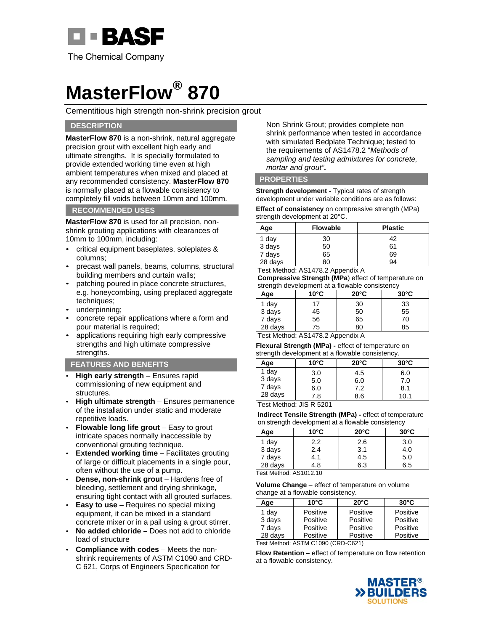

## **MasterFlow® 870**

Cementitious high strength non-shrink precision grout

## **DESCRIPTION**

**MasterFlow 870** is a non-shrink, natural aggregate precision grout with excellent high early and ultimate strengths. It is specially formulated to provide extended working time even at high ambient temperatures when mixed and placed at any recommended consistency. **MasterFlow 870** is normally placed at a flowable consistency to completely fill voids between 10mm and 100mm.

## **RECOMMENDED USES**

**MasterFlow 870** is used for all precision, nonshrink grouting applications with clearances of 10mm to 100mm, including:

- critical equipment baseplates, soleplates & columns;
- precast wall panels, beams, columns, structural building members and curtain walls;
- patching poured in place concrete structures, e.g. honeycombing, using preplaced aggregate techniques;
- underpinning;
- concrete repair applications where a form and pour material is required;
- applications requiring high early compressive strengths and high ultimate compressive strengths.

### **FEATURES AND BENEFITS**

- **High early strength** Ensures rapid commissioning of new equipment and structures.
- **High ultimate strength**  Ensures permanence of the installation under static and moderate repetitive loads.
- **Flowable long life grout**  Easy to grout intricate spaces normally inaccessible by conventional grouting technique.
- **Extended working time** Facilitates grouting of large or difficult placements in a single pour, often without the use of a pump.
- **Dense, non-shrink grout** Hardens free of bleeding, settlement and drying shrinkage, ensuring tight contact with all grouted surfaces.
- **Easy to use** Requires no special mixing equipment, it can be mixed in a standard concrete mixer or in a pail using a grout stirrer.
- **No added chloride** Does not add to chloride load of structure
- **Compliance with codes**  Meets the nonshrink requirements of ASTM C1090 and CRD-C 621, Corps of Engineers Specification for

Non Shrink Grout; provides complete non shrink performance when tested in accordance with simulated Bedplate Technique; tested to the requirements of AS1478.2 "*Methods of sampling and testing admixtures for concrete, mortar and grout"***.**

### **PROPERTIES**

**Strength development - Typical rates of strength** development under variable conditions are as follows: **Effect of consistency** on compressive strength (MPa)

strength development at 20°C.

| Age               | <b>Flowable</b> | <b>Plastic</b> |
|-------------------|-----------------|----------------|
|                   | 30              | 42             |
| 1 day<br>3 days   | 50              | 61             |
| 7 days<br>28 days | 65              | 69             |
|                   | 80              | 94             |

Test Method: AS1478.2 Appendix A

**Compressive Strength (MPa**) effect of temperature on strength development at a flowable consistency

| Age     | $10^{\circ}$ C | $20^{\circ}$ C | $30^{\circ}$ C |
|---------|----------------|----------------|----------------|
| 1 day   | 17             | 30             | 33             |
| 3 days  | 45             | 50             | 55             |
| 7 days  | 56             | 65             | 70             |
| 28 days | 75             | 80             | 85             |

Test Method: AS1478.2 Appendix A

**Flexural Strength (MPa) -** effect of temperature on strength development at a flowable consistency.

| Age     | $10^{\circ}$ C | $20^{\circ}$ C | $30^{\circ}$ C |
|---------|----------------|----------------|----------------|
| 1 day   | 3.0            | 4.5            | 6.0            |
| 3 days  | 5.0            | 6.0            | 7.0            |
| 7 days  | 6.0            | 7.2            | 8.1            |
| 28 days | 7.8            | 8.6            | 10.1           |

Test Method: JIS R 5201

**Indirect Tensile Strength (MPa) -** effect of temperature on strength development at a flowable consistency

| Age     | $10^{\circ}$ C | $20^{\circ}$ C | $30^{\circ}$ C |
|---------|----------------|----------------|----------------|
| 1 day   | 2.2            | 2.6            | 3.0            |
| 3 days  | 2.4            | 3.1            | 4.0            |
| 7 days  | 4.1            | 4.5            | 5.0            |
| 28 days | 4.8            | 6.3            | 6.5            |

**Volume Change** – effect of temperature on volume change at a flowable consistency.

| Age     | $10^{\circ}$ C | $20^{\circ}$ C | $30^{\circ}$ C |
|---------|----------------|----------------|----------------|
| 1 day   | Positive       | Positive       | Positive       |
| 3 days  | Positive       | Positive       | Positive       |
| 7 days  | Positive       | Positive       | Positive       |
| 28 days | Positive       | Positive       | Positive       |

Test Method: ASTM C1090 (CRD-C621)

**Flow Retention –** effect of temperature on flow retention at a flowable consistency.